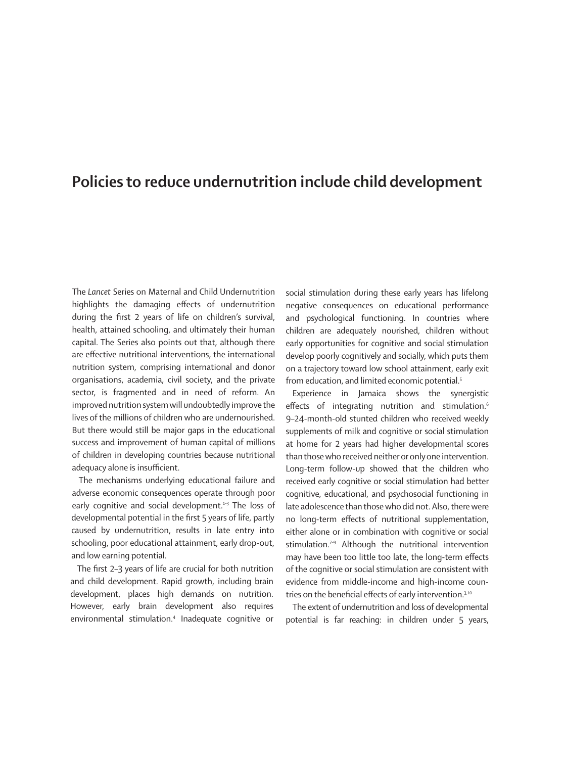## **Policies to reduce undernutrition include child development**

The *Lancet* Series on Maternal and Child Undernutrition highlights the damaging effects of undernutrition during the first 2 years of life on children's survival, health, attained schooling, and ultimately their human capital. The Series also points out that, although there are effective nutritional interventions, the international nutrition system, comprising international and donor organisations, academia, civil society, and the private sector, is fragmented and in need of reform. An improved nutrition system will undoubtedly improve the lives of the millions of children who are undernourished. But there would still be major gaps in the educational success and improvement of human capital of millions of children in developing countries because nutritional adequacy alone is insufficient.

The mechanisms underlying educational failure and adverse economic consequences operate through poor early cognitive and social development.<sup>1-3</sup> The loss of developmental potential in the first 5 years of life, partly caused by undernutrition, results in late entry into schooling, poor educational attainment, early drop-out, and low earning potential.

The first 2–3 years of life are crucial for both nutrition and child development. Rapid growth, including brain development, places high demands on nutrition. However, early brain development also requires environmental stimulation.4 Inadequate cognitive or social stimulation during these early years has lifelong negative consequences on educational performance and psychological functioning. In countries where children are adequately nourished, children without early opportunities for cognitive and social stimulation develop poorly cognitively and socially, which puts them on a trajectory toward low school attainment, early exit from education, and limited economic potential.<sup>5</sup>

Experience in Jamaica shows the synergistic effects of integrating nutrition and stimulation.<sup>6</sup> 9–24-month-old stunted children who received weekly supplements of milk and cognitive or social stimulation at home for 2 years had higher developmental scores than those who received neither or only one intervention. Long-term follow-up showed that the children who received early cognitive or social stimulation had better cognitive, educational, and psychosocial functioning in late adolescence than those who did not. Also, there were no long-term effects of nutritional supplementation, either alone or in combination with cognitive or social stimulation.<sup>7-9</sup> Although the nutritional intervention may have been too little too late, the long-term effects of the cognitive or social stimulation are consistent with evidence from middle-income and high-income countries on the beneficial effects of early intervention.<sup>3,10</sup>

The extent of undernutrition and loss of developmental potential is far reaching: in children under 5 years,